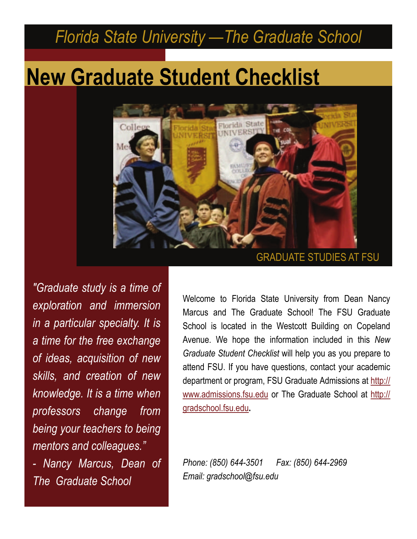# **New Graduate Student Checklist**



*"Graduate study is a time of exploration and immersion in a particular specialty. It is a time for the free exchange of ideas, acquisition of new skills, and creation of new knowledge. It is a time when professors change from being your teachers to being mentors and colleagues." - Nancy Marcus, Dean of The Graduate School* 

Welcome to Florida State University from Dean Nancy Marcus and The Graduate School! The FSU Graduate School is located in the Westcott Building on Copeland Avenue. We hope the information included in this *New Graduate Student Checklist* will help you as you prepare to attend FSU. If you have questions, contact your academic department or program, FSU Graduate Admissions at [http://](http://www.admissions.fsu.edu) [www.admissions.fsu.edu](http://www.admissions.fsu.edu) or The Graduate School at [http://](http://gradschool.fsu.edu) [gradschool.fsu.edu](http://gradschool.fsu.edu)**.** 

*Phone: (850) 644-3501 Fax: (850) 644-2969 Email: gradschool@fsu.edu*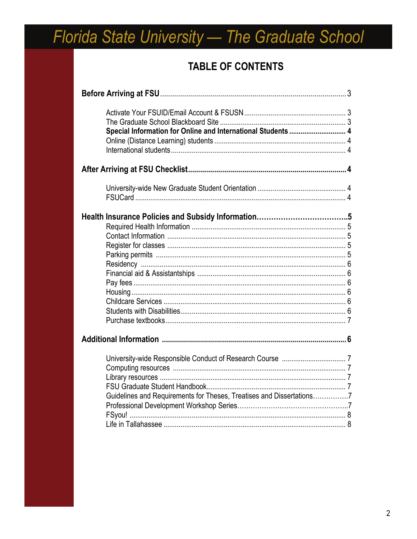### **TABLE OF CONTENTS**

| Special Information for Online and International Students  4         |  |
|----------------------------------------------------------------------|--|
|                                                                      |  |
|                                                                      |  |
|                                                                      |  |
|                                                                      |  |
|                                                                      |  |
|                                                                      |  |
|                                                                      |  |
|                                                                      |  |
|                                                                      |  |
|                                                                      |  |
|                                                                      |  |
|                                                                      |  |
|                                                                      |  |
|                                                                      |  |
|                                                                      |  |
|                                                                      |  |
|                                                                      |  |
|                                                                      |  |
|                                                                      |  |
|                                                                      |  |
|                                                                      |  |
| Guidelines and Requirements for Theses, Treatises and Dissertations7 |  |
|                                                                      |  |
|                                                                      |  |
|                                                                      |  |
|                                                                      |  |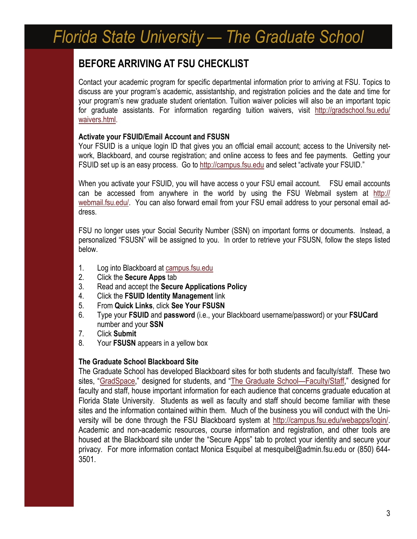### **BEFORE ARRIVING AT FSU CHECKLIST**

Contact your academic program for specific departmental information prior to arriving at FSU. Topics to discuss are your program's academic, assistantship, and registration policies and the date and time for your program's new graduate student orientation. Tuition waiver policies will also be an important topic for graduate assistants. For information regarding tuition waivers, visit [http://gradschool.fsu.edu/](http://gradschool.fsu.edu/waivers.html) [waivers.html](http://gradschool.fsu.edu/waivers.html).

#### **Activate your FSUID/Email Account and FSUSN**

Your FSUID is a unique login ID that gives you an official email account; access to the University network, Blackboard, and course registration; and online access to fees and fee payments. Getting your FSUID set up is an easy process. Go to <http://campus.fsu.edu>and select "activate your FSUID."

When you activate your FSUID, you will have access o your FSU email account. FSU email accounts can be accessed from anywhere in the world by using the FSU Webmail system at [http://](http://webmail.fsu.edu/) [webmail.fsu.edu/](http://webmail.fsu.edu/). You can also forward email from your FSU email address to your personal email address.

FSU no longer uses your Social Security Number (SSN) on important forms or documents. Instead, a personalized "FSUSN" will be assigned to you. In order to retrieve your FSUSN, follow the steps listed below.

- 1. Log into Blackboard at campus.fsu.edu
- 2. Click the **Secure Apps** tab
- 3. Read and accept the **Secure Applications Policy**
- 4. Click the **FSUID Identity Management** link
- 5. From **Quick Links**, click **See Your FSUSN**
- 6. Type your **FSUID** and **password** (i.e., your Blackboard username/password) or your **FSUCard** number and your **SSN**
- 7. Click **Submit**
- 8. Your **FSUSN** appears in a yellow box

#### **The Graduate School Blackboard Site**

The Graduate School has developed Blackboard sites for both students and faculty/staff. These two sites, "[GradSpace](https://campus.fsu.edu/webapps/portal/frameset.jsp?tab=community&url=%2Fbin%2Fcommon%2Fcourse.pl%3Fcourse_id%3D_173728_1)," designed for students, and "[The Graduate School—Faculty/Staff](https://campus.fsu.edu/webapps/portal/frameset.jsp?tab=community&url=%2Fbin%2Fcommon%2Fcourse.pl%3Fcourse_id%3D_173731_1)," designed for faculty and staff, house important information for each audience that concerns graduate education at Florida State University. Students as well as faculty and staff should become familiar with these sites and the information contained within them. Much of the business you will conduct with the University will be done through the FSU Blackboard system at <http://campus.fsu.edu/webapps/login/>. Academic and non-academic resources, course information and registration, and other tools are housed at the Blackboard site under the "Secure Apps" tab to protect your identity and secure your privacy. For more information contact Monica Esquibel at mesquibel@admin.fsu.edu or (850) 644- 3501.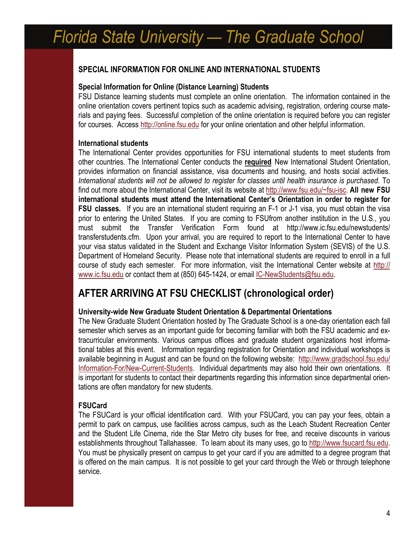#### **SPECIAL INFORMATION FOR ONLINE AND INTERNATIONAL STUDENTS**

#### **Special Information for Online (Distance Learning) Students**

FSU Distance learning students must complete an online orientation. The information contained in the online orientation covers pertinent topics such as academic advising, registration, ordering course materials and paying fees. Successful completion of the online orientation is required before you can register for courses. Access <http://online.fsu.edu> for your online orientation and other helpful information.

#### **International students**

The International Center provides opportunities for FSU international students to meet students from other countries. The International Center conducts the **required** New International Student Orientation, provides information on financial assistance, visa documents and housing, and hosts social activities. *International students will not be allowed to register for classes until health insurance is purchased.* To find out more about the International Center, visit its website at <http://www.fsu.edu/~fsu-isc>. **All new FSU international students must attend the International Center's Orientation in order to register for FSU classes.** If you are an international student requiring an F-1 or J-1 visa, you must obtain the visa prior to entering the United States. If you are coming to FSUfrom another institution in the U.S., you must submit the Transfer Verification Form found at http://www.ic.fsu.edu/newstudents/ transferstudents.cfm. Upon your arrival, you are required to report to the International Center to have your visa status validated in the Student and Exchange Visitor Information System (SEVIS) of the U.S. Department of Homeland Security. Please note that international students are required to enroll in a full course of study each semester. For more information, visit the International Center website at [http://](http://www.ic.fsu.edu) [www.ic.fsu.edu](http://www.ic.fsu.edu) or contact them at (850) 645-1424, or email [IC-NewStudents@fsu.edu](mailto:IC-NewStudents@fsu.edu).

### **AFTER ARRIVING AT FSU CHECKLIST (chronological order)**

#### **University-wide New Graduate Student Orientation & Departmental Orientations**

The New Graduate Student Orientation hosted by The Graduate School is a one-day orientation each fall semester which serves as an important guide for becoming familiar with both the FSU academic and extracurricular environments. Various campus offices and graduate student organizations host informational tables at this event. Information regarding registration for Orientation and individual workshops is available beginning in August and can be found on the following website: [http://www.gradschool.fsu.edu/](http://www.gradstudies.fsu.edu/Information-For/New-Current-Students) [Information-For/New-Current-Students](http://www.gradstudies.fsu.edu/Information-For/New-Current-Students). Individual departments may also hold their own orientations. It is important for students to contact their departments regarding this information since departmental orientations are often mandatory for new students.

#### **FSUCard**

The FSUCard is your official identification card. With your FSUCard, you can pay your fees, obtain a permit to park on campus, use facilities across campus, such as the Leach Student Recreation Center and the Student Life Cinema, ride the Star Metro city buses for free, and receive discounts in various establishments throughout Tallahassee. To learn about its many uses, go to [http://www.fsucard.fsu.edu.](http://www.fsucard.fsu.edu) You must be physically present on campus to get your card if you are admitted to a degree program that is offered on the main campus. It is not possible to get your card through the Web or through telephone service.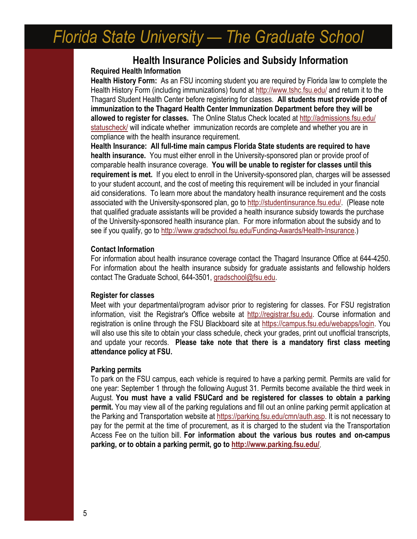#### **Health Insurance Policies and Subsidy Information Required Health Information**

**Health History Form:** As an FSU incoming student you are required by Florida law to complete the Health History Form (including immunizations) found at<http://www.tshc.fsu.edu/> and return it to the Thagard Student Health Center before registering for classes. **All students must provide proof of immunization to the Thagard Health Center Immunization Department before they will be allowed to register for classes.** The Online Status Check located at [http://admissions.fsu.edu/](http://admissions.fsu.edu/statuscheck/) [statuscheck/](http://admissions.fsu.edu/statuscheck/) will indicate whether immunization records are complete and whether you are in compliance with the health insurance requirement.

**Health Insurance: All full-time main campus Florida State students are required to have health insurance.** You must either enroll in the University-sponsored plan or provide proof of comparable health insurance coverage. **You will be unable to register for classes until this requirement is met.** If you elect to enroll in the University-sponsored plan, charges will be assessed to your student account, and the cost of meeting this requirement will be included in your financial aid considerations. To learn more about the mandatory health insurance requirement and the costs associated with the University-sponsored plan, go to <http://studentinsurance.fsu.edu/>. (Please note that qualified graduate assistants will be provided a health insurance subsidy towards the purchase of the University-sponsored health insurance plan. For more information about the subsidy and to see if you qualify, go to <http://www.gradschool.fsu.edu/Funding-Awards/Health-Insurance>.)

#### **Contact Information**

For information about health insurance coverage contact the Thagard Insurance Office at 644-4250. For information about the health insurance subsidy for graduate assistants and fellowship holders contact The Graduate School, 644-3501, [gradschool@fsu.edu](mailto:gradstds@www.fsu.edu).

#### **Register for classes**

Meet with your departmental/program advisor prior to registering for classes. For FSU registration information, visit the Registrar's Office website at [http://registrar.fsu.edu](http://registrar.fsu.edu/). Course information and registration is online through the FSU Blackboard site at [https://campus.fsu.edu/webapps/login.](https://campus.fsu.edu/webapps/login) You will also use this site to obtain your class schedule, check your grades, print out unofficial transcripts, and update your records. **Please take note that there is a mandatory first class meeting attendance policy at FSU.**

#### **Parking permits**

To park on the FSU campus, each vehicle is required to have a parking permit. Permits are valid for one year: September 1 through the following August 31. Permits become available the third week in August. **You must have a valid FSUCard and be registered for classes to obtain a parking permit.** You may view all of the parking regulations and fill out an online parking permit application at the Parking and Transportation website at <https://parking.fsu.edu/cmn/auth.asp>. It is not necessary to pay for the permit at the time of procurement, as it is charged to the student via the Transportation Access Fee on the tuition bill. **For information about the various bus routes and on-campus parking, or to obtain a parking permit, go to <http://www.parking.fsu.edu/>**.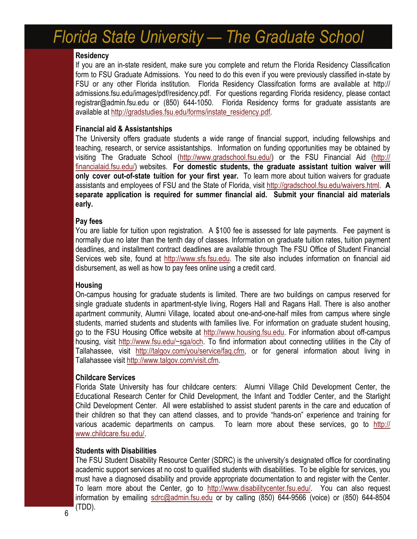#### **Residency**

If you are an in-state resident, make sure you complete and return the Florida Residency Classification form to FSU Graduate Admissions. You need to do this even if you were previously classified in-state by FSU or any other Florida institution. Florida Residency Classifcation forms are available at http:// admissions.fsu.edu/images/pdf/residency.pdf. For questions regarding Florida residency, please contact registrar@admin.fsu.edu or (850) 644-1050. Florida Residency forms for graduate assistants are available at http://gradstudies.fsu.edu/forms/instate\_residency.pdf.

#### **Financial aid & Assistantships**

The University offers graduate students a wide range of financial support, including fellowships and teaching, research, or service assistantships. Information on funding opportunities may be obtained by visiting The Graduate School [\(http://www.gradschool.fsu.edu/](http://www.gradschool.fsu.edu/Funding-Awards/Health-Insurance)) or the FSU Financial Aid ([http://](http://financialaid.fsu.edu/) [financialaid.fsu.edu/](http://financialaid.fsu.edu/)) websites. **For domestic students, the graduate assistant tuition waiver will only cover out-of-state tuition for your first year.** To learn more about tuition waivers for graduate assistants and employees of FSU and the State of Florida, visit <http://gradschool.fsu.edu/waivers.html>. **A separate application is required for summer financial aid. Submit your financial aid materials early.** 

#### **Pay fees**

You are liable for tuition upon registration. A \$100 fee is assessed for late payments. Fee payment is normally due no later than the tenth day of classes. Information on graduate tuition rates, tuition payment deadlines, and installment contract deadlines are available through The FSU Office of Student Financial Services web site, found at [http://www.sfs.fsu.edu.](http://www.sfs.fsu.edu) The site also includes information on financial aid disbursement, as well as how to pay fees online using a credit card.

#### **Housing**

On-campus housing for graduate students is limited. There are two buildings on campus reserved for single graduate students in apartment-style living, Rogers Hall and Ragans Hall. There is also another apartment community, Alumni Village, located about one-and-one-half miles from campus where single students, married students and students with families live. For information on graduate student housing, go to the FSU Housing Office website at <http://www.housing.fsu.edu>. For information about off-campus housing, visit <http://www.fsu.edu/~sga/och>. To find information about connecting utilities in the City of Tallahassee, visit <http://talgov.com/you/service/faq.cfm>, or for general information about living in Tallahassee visit <http://www.talgov.com/visit.cfm>.

#### **Childcare Services**

Florida State University has four childcare centers: Alumni Village Child Development Center, the Educational Research Center for Child Development, the Infant and Toddler Center, and the Starlight Child Development Center. All were established to assist student parents in the care and education of their children so that they can attend classes, and to provide "hands-on" experience and training for various academic departments on campus. To learn more about these services, go to [http://](http://www.childcare.fsu.edu/) [www.childcare.fsu.edu/](http://www.childcare.fsu.edu/).

#### **Students with Disabilities**

The FSU Student Disability Resource Center (SDRC) is the university's designated office for coordinating academic support services at no cost to qualified students with disabilities. To be eligible for services, you must have a diagnosed disability and provide appropriate documentation to and register with the Center. To learn more about the Center, go to <http://www.disabilitycenter.fsu.edu/>. You can also request information by emailing [sdrc@admin.fsu.edu](mailto:sdrc@admin.fsu.edu) or by calling (850) 644-9566 (voice) or (850) 644-8504 (TDD).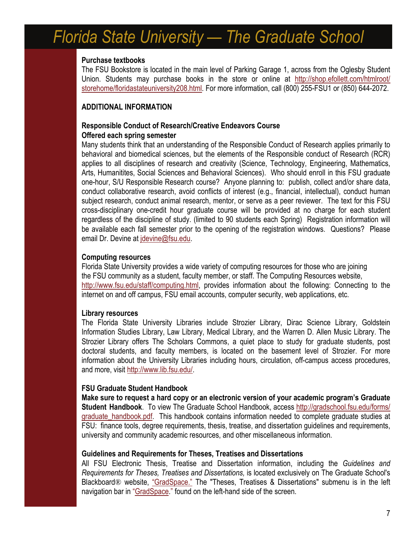#### **Purchase textbooks**

The FSU Bookstore is located in the main level of Parking Garage 1, across from the Oglesby Student Union. Students may purchase books in the store or online at [http://shop.efollett.com/htmlroot/](http://shop.efollett.com/htmlroot/storehome/floridastateuniversity208.html) [storehome/floridastateuniversity208.html](http://shop.efollett.com/htmlroot/storehome/floridastateuniversity208.html). For more information, call (800) 255-FSU1 or (850) 644-2072.

#### **ADDITIONAL INFORMATION**

#### **Responsible Conduct of Research/Creative Endeavors Course Offered each spring semester**

Many students think that an understanding of the Responsible Conduct of Research applies primarily to behavioral and biomedical sciences, but the elements of the Responsible conduct of Research (RCR) applies to all disciplines of research and creativity (Science, Technology, Engineering, Mathematics, Arts, Humanitites, Social Sciences and Behavioral Sciences). Who should enroll in this FSU graduate one-hour, S/U Responsible Research course? Anyone planning to: publish, collect and/or share data, conduct collaborative research, avoid conflicts of interest (e.g., financial, intellectual), conduct human subject research, conduct animal research, mentor, or serve as a peer reviewer. The text for this FSU cross-disciplinary one-credit hour graduate course will be provided at no charge for each student regardless of the discipline of study. (limited to 90 students each Spring) Registration information will be available each fall semester prior to the opening of the registration windows. Questions? Please email Dr. Devine at [jdevine@fsu.edu](mailto:jdevine@fsu.edu).

#### **Computing resources**

Florida State University provides a wide variety of computing resources for those who are joining the FSU community as a student, faculty member, or staff. The Computing Resources website, <http://www.fsu.edu/staff/computing.html>, provides information about the following: Connecting to the internet on and off campus, FSU email accounts, computer security, web applications, etc.

#### **Library resources**

The Florida State University Libraries include Strozier Library, Dirac Science Library, Goldstein Information Studies Library, Law Library, Medical Library, and the Warren D. Allen Music Library. The Strozier Library offers The Scholars Commons, a quiet place to study for graduate students, post doctoral students, and faculty members, is located on the basement level of Strozier. For more information about the University Libraries including hours, circulation, off-campus access procedures, and more, visit [http://www.lib.fsu.edu/.](http://www.lib.fsu.edu/)

#### **FSU Graduate Student Handbook**

**Make sure to request a hard copy or an electronic version of your academic program's Graduate Student Handbook**. To view The Graduate School Handbook, access [http://gradschool.fsu.edu/forms/](http://gradschool.fsu.edu/forms/graduate_handbook.pdf) [graduate\\_handbook.pdf](http://gradschool.fsu.edu/forms/graduate_handbook.pdf). This handbook contains information needed to complete graduate studies at FSU: finance tools, degree requirements, thesis, treatise, and dissertation guidelines and requirements, university and community academic resources, and other miscellaneous information.

#### **Guidelines and Requirements for Theses, Treatises and Dissertations**

All FSU Electronic Thesis, Treatise and Dissertation information, including the *Guidelines and Requirements for Theses, Treatises and Dissertations,* is located exclusively on The Graduate School's Blackboard<sup>®</sup> website, ["GradSpace."](https://campus.fsu.edu/webapps/portal/frameset.jsp?tab=community&url=%2Fbin%2Fcommon%2Fcourse.pl%3Fcourse_id%3D_173728_1) The "Theses, Treatises & Dissertations" submenu is in the left navigation bar in "[GradSpace.](https://campus.fsu.edu/webapps/portal/frameset.jsp?tab=community&url=%2Fbin%2Fcommon%2Fcourse.pl%3Fcourse_id%3D_173728_1)" found on the left-hand side of the screen.